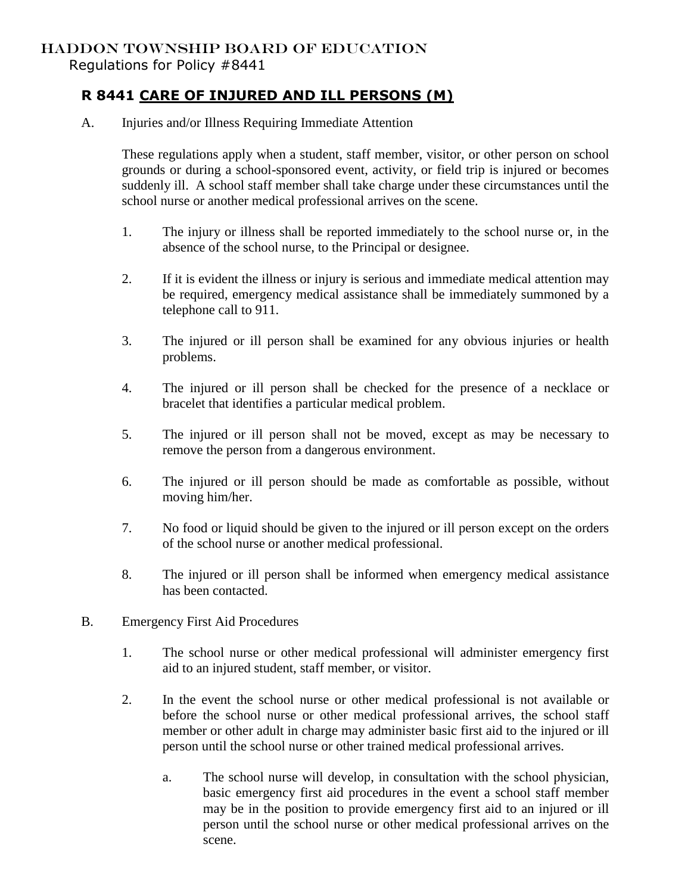## HADDON TOWNSHIP BOARD OF EDUCATION

Regulations for Policy #8441

## **R 8441 CARE OF INJURED AND ILL PERSONS (M)**

A. Injuries and/or Illness Requiring Immediate Attention

These regulations apply when a student, staff member, visitor, or other person on school grounds or during a school-sponsored event, activity, or field trip is injured or becomes suddenly ill. A school staff member shall take charge under these circumstances until the school nurse or another medical professional arrives on the scene.

- 1. The injury or illness shall be reported immediately to the school nurse or, in the absence of the school nurse, to the Principal or designee.
- 2. If it is evident the illness or injury is serious and immediate medical attention may be required, emergency medical assistance shall be immediately summoned by a telephone call to 911.
- 3. The injured or ill person shall be examined for any obvious injuries or health problems.
- 4. The injured or ill person shall be checked for the presence of a necklace or bracelet that identifies a particular medical problem.
- 5. The injured or ill person shall not be moved, except as may be necessary to remove the person from a dangerous environment.
- 6. The injured or ill person should be made as comfortable as possible, without moving him/her.
- 7. No food or liquid should be given to the injured or ill person except on the orders of the school nurse or another medical professional.
- 8. The injured or ill person shall be informed when emergency medical assistance has been contacted.
- B. Emergency First Aid Procedures
	- 1. The school nurse or other medical professional will administer emergency first aid to an injured student, staff member, or visitor.
	- 2. In the event the school nurse or other medical professional is not available or before the school nurse or other medical professional arrives, the school staff member or other adult in charge may administer basic first aid to the injured or ill person until the school nurse or other trained medical professional arrives.
		- a. The school nurse will develop, in consultation with the school physician, basic emergency first aid procedures in the event a school staff member may be in the position to provide emergency first aid to an injured or ill person until the school nurse or other medical professional arrives on the scene.